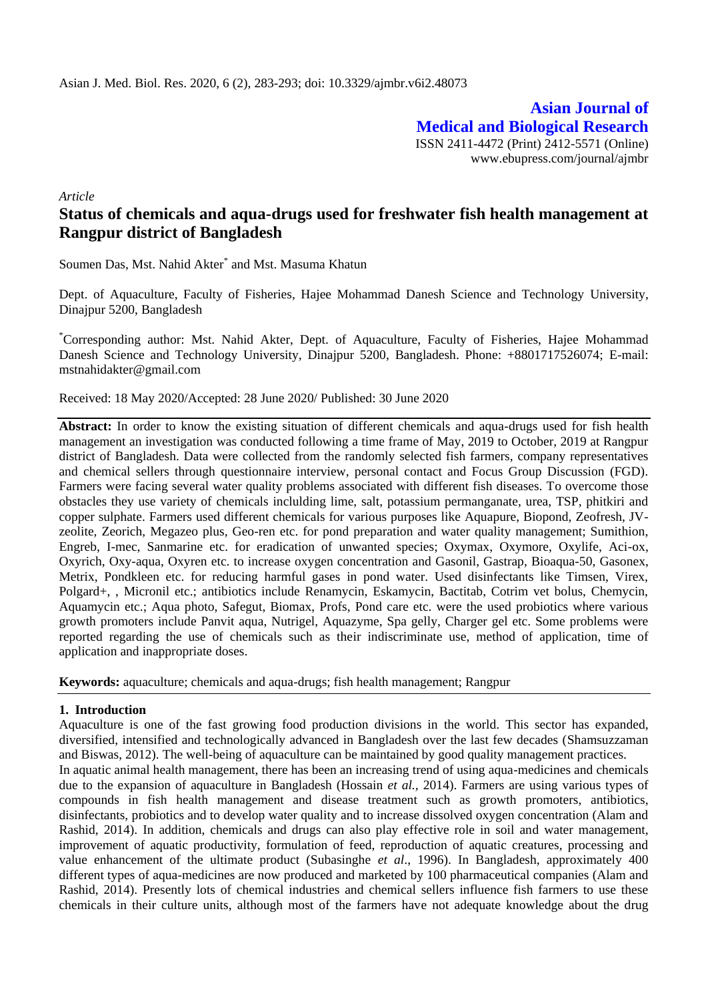**Asian Journal of Medical and Biological Research** ISSN 2411-4472 (Print) 2412-5571 (Online) www.ebupress.com/journal/ajmbr

*Article*

# **Status of chemicals and aqua-drugs used for freshwater fish health management at Rangpur district of Bangladesh**

Soumen Das, Mst. Nahid Akter\* and Mst. Masuma Khatun

Dept. of Aquaculture, Faculty of Fisheries, Hajee Mohammad Danesh Science and Technology University, Dinajpur 5200, Bangladesh

\*Corresponding author: Mst. Nahid Akter, Dept. of Aquaculture, Faculty of Fisheries, Hajee Mohammad Danesh Science and Technology University, Dinajpur 5200, Bangladesh. Phone: +8801717526074; E-mail: mstnahidakter@gmail.com

Received: 18 May 2020/Accepted: 28 June 2020/ Published: 30 June 2020

**Abstract:** In order to know the existing situation of different chemicals and aqua-drugs used for fish health management an investigation was conducted following a time frame of May, 2019 to October, 2019 at Rangpur district of Bangladesh. Data were collected from the randomly selected fish farmers, company representatives and chemical sellers through questionnaire interview, personal contact and Focus Group Discussion (FGD). Farmers were facing several water quality problems associated with different fish diseases. To overcome those obstacles they use variety of chemicals inclulding lime, salt, potassium permanganate, urea, TSP, phitkiri and copper sulphate. Farmers used different chemicals for various purposes like Aquapure, Biopond, Zeofresh, JVzeolite, Zeorich, Megazeo plus, Geo-ren etc. for pond preparation and water quality management; Sumithion, Engreb, I-mec, Sanmarine etc. for eradication of unwanted species; Oxymax, Oxymore, Oxylife, Aci-ox, Oxyrich, Oxy-aqua, Oxyren etc. to increase oxygen concentration and Gasonil, Gastrap, Bioaqua-50, Gasonex, Metrix, Pondkleen etc. for reducing harmful gases in pond water. Used disinfectants like Timsen, Virex, Polgard+, , Micronil etc.; antibiotics include Renamycin, Eskamycin, Bactitab, Cotrim vet bolus, Chemycin, Aquamycin etc.; Aqua photo, Safegut, Biomax, Profs, Pond care etc. were the used probiotics where various growth promoters include Panvit aqua, Nutrigel, Aquazyme, Spa gelly, Charger gel etc. Some problems were reported regarding the use of chemicals such as their indiscriminate use, method of application, time of application and inappropriate doses.

**Keywords:** aquaculture; chemicals and aqua-drugs; fish health management; Rangpur

#### **1. Introduction**

Aquaculture is one of the fast growing food production divisions in the world. This sector has expanded, diversified, intensified and technologically advanced in Bangladesh over the last few decades (Shamsuzzaman and Biswas, 2012). The well-being of aquaculture can be maintained by good quality management practices.

In aquatic animal health management, there has been an increasing trend of using aqua-medicines and chemicals due to the expansion of aquaculture in Bangladesh (Hossain *et al.,* 2014). Farmers are using various types of compounds in fish health management and disease treatment such as growth promoters, antibiotics, disinfectants, probiotics and to develop water quality and to increase dissolved oxygen concentration (Alam and Rashid, 2014). In addition, chemicals and drugs can also play effective role in soil and water management, improvement of aquatic productivity, formulation of feed, reproduction of aquatic creatures, processing and value enhancement of the ultimate product (Subasinghe *et al*., 1996). In Bangladesh, approximately 400 different types of aqua-medicines are now produced and marketed by 100 pharmaceutical companies (Alam and Rashid, 2014). Presently lots of chemical industries and chemical sellers influence fish farmers to use these chemicals in their culture units, although most of the farmers have not adequate knowledge about the drug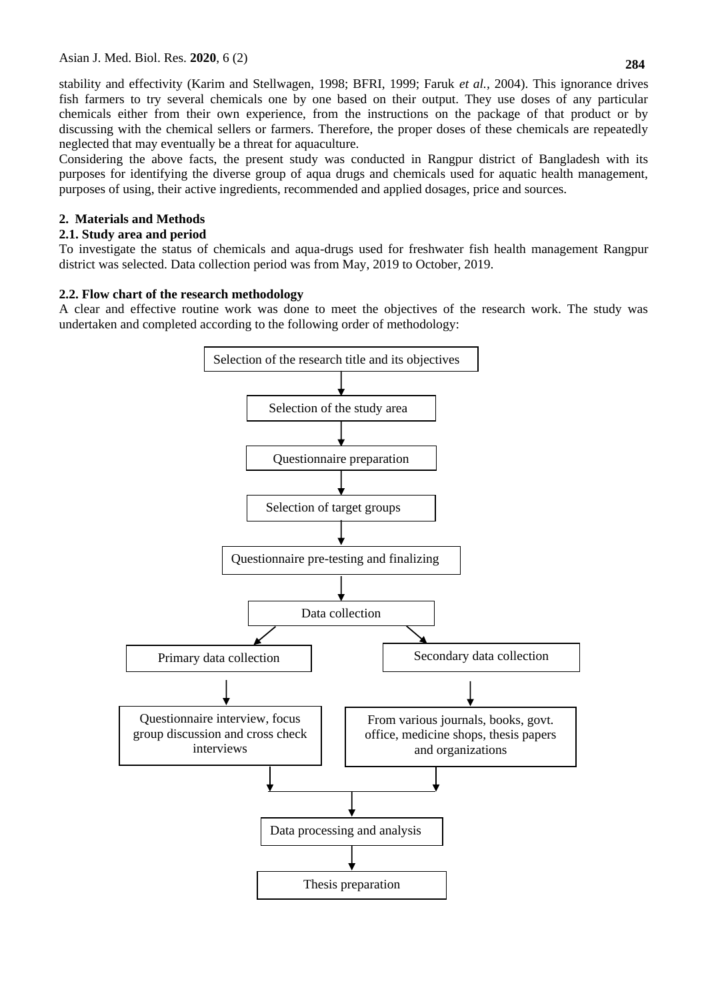stability and effectivity (Karim and Stellwagen, 1998; BFRI, 1999; Faruk *et al.,* 2004). This ignorance drives fish farmers to try several chemicals one by one based on their output. They use doses of any particular chemicals either from their own experience, from the instructions on the package of that product or by discussing with the chemical sellers or farmers. Therefore, the proper doses of these chemicals are repeatedly neglected that may eventually be a threat for aquaculture.

Considering the above facts, the present study was conducted in Rangpur district of Bangladesh with its purposes for identifying the diverse group of aqua drugs and chemicals used for aquatic health management, purposes of using, their active ingredients, recommended and applied dosages, price and sources.

### **2. Materials and Methods**

#### **2.1. Study area and period**

To investigate the status of chemicals and aqua-drugs used for freshwater fish health management Rangpur district was selected. Data collection period was from May, 2019 to October, 2019.

#### **2.2. Flow chart of the research methodology**

A clear and effective routine work was done to meet the objectives of the research work. The study was undertaken and completed according to the following order of methodology:

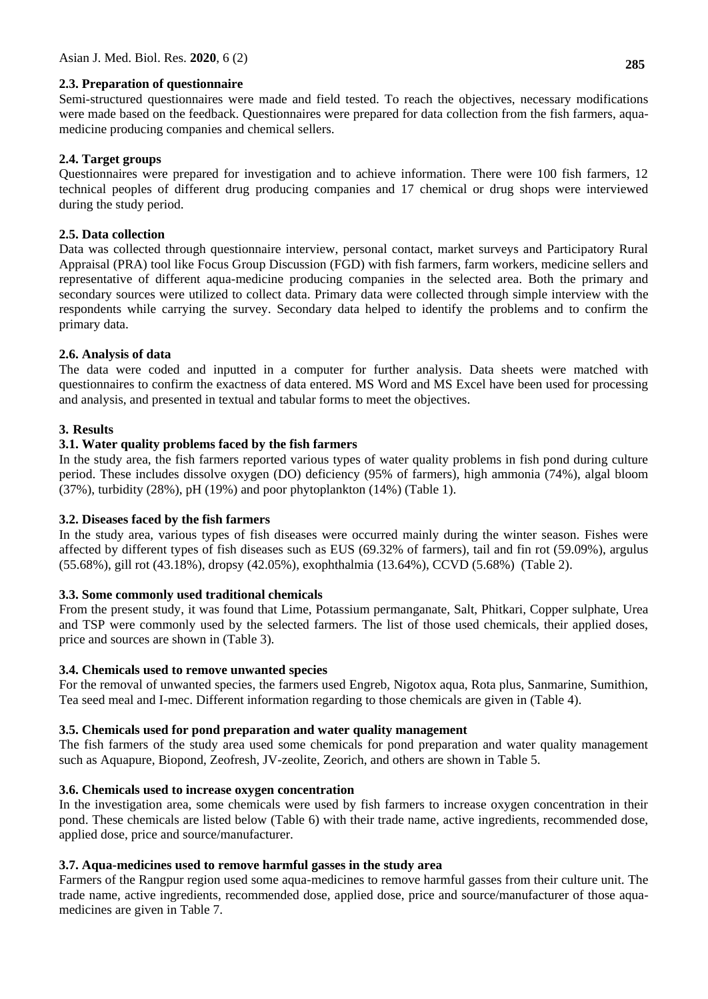#### **2.3. Preparation of questionnaire**

Semi-structured questionnaires were made and field tested. To reach the objectives, necessary modifications were made based on the feedback. Questionnaires were prepared for data collection from the fish farmers, aquamedicine producing companies and chemical sellers.

### **2.4. Target groups**

Questionnaires were prepared for investigation and to achieve information. There were 100 fish farmers, 12 technical peoples of different drug producing companies and 17 chemical or drug shops were interviewed during the study period.

#### **2.5. Data collection**

Data was collected through questionnaire interview, personal contact, market surveys and Participatory Rural Appraisal (PRA) tool like Focus Group Discussion (FGD) with fish farmers, farm workers, medicine sellers and representative of different aqua-medicine producing companies in the selected area. Both the primary and secondary sources were utilized to collect data. Primary data were collected through simple interview with the respondents while carrying the survey. Secondary data helped to identify the problems and to confirm the primary data.

#### **2.6. Analysis of data**

The data were coded and inputted in a computer for further analysis. Data sheets were matched with questionnaires to confirm the exactness of data entered. MS Word and MS Excel have been used for processing and analysis, and presented in textual and tabular forms to meet the objectives.

#### **3. Results**

#### **3.1. Water quality problems faced by the fish farmers**

In the study area, the fish farmers reported various types of water quality problems in fish pond during culture period. These includes dissolve oxygen (DO) deficiency (95% of farmers), high ammonia (74%), algal bloom (37%), turbidity (28%), pH (19%) and poor phytoplankton (14%) (Table 1).

#### **3.2. Diseases faced by the fish farmers**

In the study area, various types of fish diseases were occurred mainly during the winter season. Fishes were affected by different types of fish diseases such as EUS (69.32% of farmers), tail and fin rot (59.09%), argulus (55.68%), gill rot (43.18%), dropsy (42.05%), exophthalmia (13.64%), CCVD (5.68%) (Table 2).

#### **3.3. Some commonly used traditional chemicals**

From the present study, it was found that Lime, Potassium permanganate, Salt, Phitkari, Copper sulphate, Urea and TSP were commonly used by the selected farmers. The list of those used chemicals, their applied doses, price and sources are shown in (Table 3).

#### **3.4. Chemicals used to remove unwanted species**

For the removal of unwanted species, the farmers used Engreb, Nigotox aqua, Rota plus, Sanmarine, Sumithion, Tea seed meal and I-mec. Different information regarding to those chemicals are given in (Table 4).

## **3.5. Chemicals used for pond preparation and water quality management**

The fish farmers of the study area used some chemicals for pond preparation and water quality management such as Aquapure, Biopond, Zeofresh, JV-zeolite, Zeorich, and others are shown in Table 5.

#### **3.6. Chemicals used to increase oxygen concentration**

In the investigation area, some chemicals were used by fish farmers to increase oxygen concentration in their pond. These chemicals are listed below (Table 6) with their trade name, active ingredients, recommended dose, applied dose, price and source/manufacturer.

## **3.7. Aqua-medicines used to remove harmful gasses in the study area**

Farmers of the Rangpur region used some aqua-medicines to remove harmful gasses from their culture unit. The trade name, active ingredients, recommended dose, applied dose, price and source/manufacturer of those aquamedicines are given in Table 7.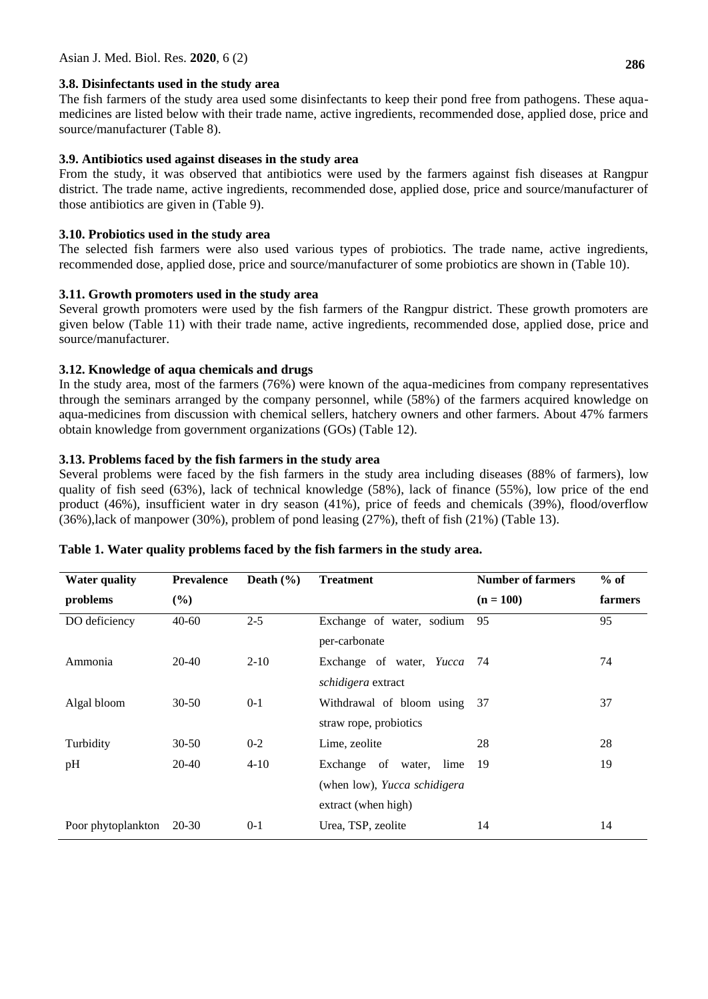#### **3.8. Disinfectants used in the study area**

The fish farmers of the study area used some disinfectants to keep their pond free from pathogens. These aquamedicines are listed below with their trade name, active ingredients, recommended dose, applied dose, price and source/manufacturer (Table 8).

#### **3.9. Antibiotics used against diseases in the study area**

From the study, it was observed that antibiotics were used by the farmers against fish diseases at Rangpur district. The trade name, active ingredients, recommended dose, applied dose, price and source/manufacturer of those antibiotics are given in (Table 9).

#### **3.10. Probiotics used in the study area**

The selected fish farmers were also used various types of probiotics. The trade name, active ingredients, recommended dose, applied dose, price and source/manufacturer of some probiotics are shown in (Table 10).

#### **3.11. Growth promoters used in the study area**

Several growth promoters were used by the fish farmers of the Rangpur district. These growth promoters are given below (Table 11) with their trade name, active ingredients, recommended dose, applied dose, price and source/manufacturer.

#### **3.12. Knowledge of aqua chemicals and drugs**

In the study area, most of the farmers (76%) were known of the aqua-medicines from company representatives through the seminars arranged by the company personnel, while (58%) of the farmers acquired knowledge on aqua-medicines from discussion with chemical sellers, hatchery owners and other farmers. About 47% farmers obtain knowledge from government organizations (GOs) (Table 12).

#### **3.13. Problems faced by the fish farmers in the study area**

Several problems were faced by the fish farmers in the study area including diseases (88% of farmers), low quality of fish seed (63%), lack of technical knowledge (58%), lack of finance (55%), low price of the end product (46%), insufficient water in dry season (41%), price of feeds and chemicals (39%), flood/overflow (36%),lack of manpower (30%), problem of pond leasing (27%), theft of fish (21%) (Table 13).

| <b>Water quality</b> | <b>Prevalence</b> | Death $(\frac{6}{6})$ | <b>Treatment</b>             | <b>Number of farmers</b> | $%$ of  |
|----------------------|-------------------|-----------------------|------------------------------|--------------------------|---------|
| problems             | $(\%)$            |                       |                              | $(n = 100)$              | farmers |
| DO deficiency        | $40 - 60$         | $2 - 5$               | Exchange of water, sodium    | 95                       | 95      |
|                      |                   |                       | per-carbonate                |                          |         |
| Ammonia              | 20-40             | $2 - 10$              | Exchange of water, Yucca 74  |                          | 74      |
|                      |                   |                       | <i>schidigera</i> extract    |                          |         |
| Algal bloom          | $30 - 50$         | $0-1$                 | Withdrawal of bloom using    | 37                       | 37      |
|                      |                   |                       | straw rope, probiotics       |                          |         |
| Turbidity            | $30 - 50$         | $0 - 2$               | Lime, zeolite                | 28                       | 28      |
| pH                   | 20-40             | $4 - 10$              | Exchange of water, lime      | -19                      | 19      |
|                      |                   |                       | (when low), Yucca schidigera |                          |         |
|                      |                   |                       | extract (when high)          |                          |         |
| Poor phytoplankton   | 20-30             | $0 - 1$               | Urea, TSP, zeolite           | 14                       | 14      |

#### **Table 1. Water quality problems faced by the fish farmers in the study area.**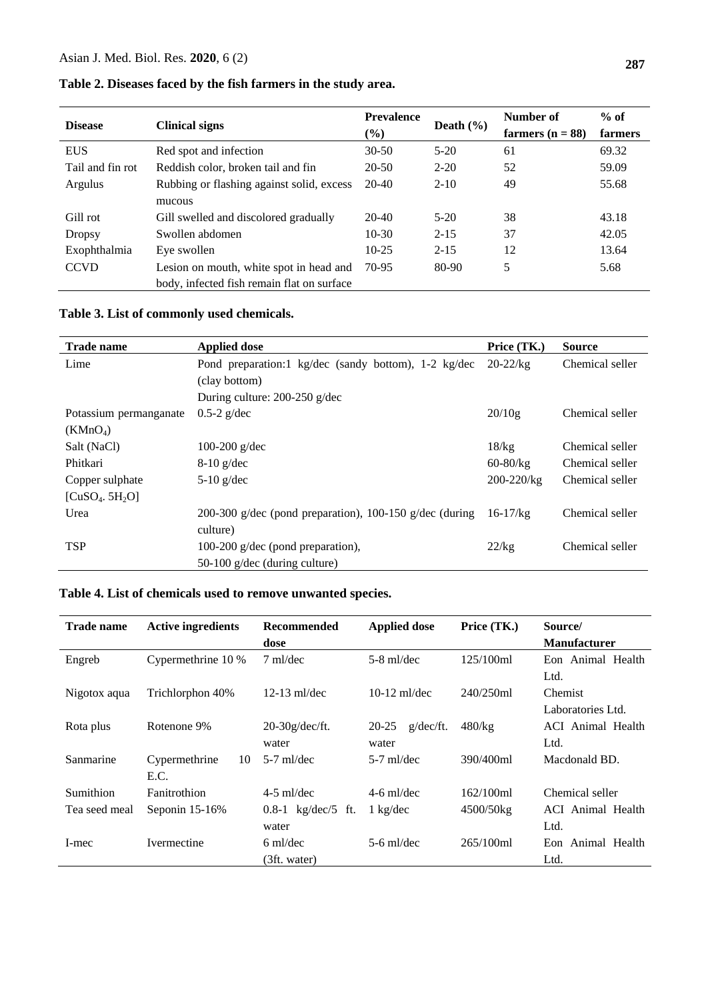| <b>Disease</b>   | <b>Clinical signs</b>                      | <b>Prevalence</b><br>$\frac{6}{6}$ | Death $(\% )$ | Number of<br>farmers $(n = 88)$ | $%$ of<br>farmers |
|------------------|--------------------------------------------|------------------------------------|---------------|---------------------------------|-------------------|
| <b>EUS</b>       | Red spot and infection                     | $30 - 50$                          | $5 - 20$      | 61                              | 69.32             |
| Tail and fin rot | Reddish color, broken tail and fin         | 20-50                              | $2 - 20$      | 52                              | 59.09             |
| Argulus          | Rubbing or flashing against solid, excess  | $20-40$                            | $2 - 10$      | 49                              | 55.68             |
|                  | mucous                                     |                                    |               |                                 |                   |
| Gill rot         | Gill swelled and discolored gradually      | $20-40$                            | $5-20$        | 38                              | 43.18             |
| <b>Dropsy</b>    | Swollen abdomen                            | $10-30$                            | $2 - 15$      | 37                              | 42.05             |
| Exophthalmia     | Eye swollen                                | $10-25$                            | $2 - 15$      | 12                              | 13.64             |
| <b>CCVD</b>      | Lesion on mouth, white spot in head and    | 70-95                              | 80-90         | 5                               | 5.68              |
|                  | body, infected fish remain flat on surface |                                    |               |                                 |                   |

# **Table 2. Diseases faced by the fish farmers in the study area.**

# **Table 3. List of commonly used chemicals.**

| <b>Trade name</b>                       | <b>Applied dose</b>                                     | Price (TK.)    | <b>Source</b>   |
|-----------------------------------------|---------------------------------------------------------|----------------|-----------------|
| Lime                                    | Pond preparation:1 kg/dec (sandy bottom), 1-2 kg/dec    | $20 - 22$ /kg  | Chemical seller |
|                                         | (clay bottom)                                           |                |                 |
|                                         | During culture: 200-250 g/dec                           |                |                 |
| Potassium permanganate                  | $0.5-2$ g/dec                                           | 20/10g         | Chemical seller |
| (KMnO <sub>4</sub> )                    |                                                         |                |                 |
| Salt (NaCl)                             | 100-200 $g/dec$                                         | 18/kg          | Chemical seller |
| Phitkari                                | $8-10$ g/dec                                            | $60 - 80$ /kg  | Chemical seller |
| Copper sulphate                         | $5-10$ g/dec                                            | $200 - 220/kg$ | Chemical seller |
| [CuSO <sub>4</sub> , 5H <sub>2</sub> O] |                                                         |                |                 |
| Urea                                    | 200-300 g/dec (pond preparation), 100-150 g/dec (during | $16 - 17$ /kg  | Chemical seller |
|                                         | culture)                                                |                |                 |
| <b>TSP</b>                              | 100-200 g/dec (pond preparation),                       | 22/kg          | Chemical seller |
|                                         | $50-100$ g/dec (during culture)                         |                |                 |

# **Table 4. List of chemicals used to remove unwanted species.**

| <b>Trade name</b> | <b>Active ingredients</b>   | <b>Recommended</b><br>dose         | <b>Applied dose</b>          | Price (TK.) | Source/<br><b>Manufacturer</b>                |
|-------------------|-----------------------------|------------------------------------|------------------------------|-------------|-----------------------------------------------|
| Engreb            | Cypermethrine 10 %          | $7 \text{ ml/dec}$                 | $5-8$ ml/dec                 | 125/100ml   | Eon Animal Health                             |
| Nigotox aqua      | Trichlorphon 40%            | $12-13$ ml/dec                     | $10-12$ ml/dec               | 240/250ml   | Ltd.<br>Chemist                               |
| Rota plus         | Rotenone 9%                 | $20-30g/dec/ft.$                   | $g/\text{dec/ft}$ .<br>20-25 | $480$ /kg   | Laboratories Ltd.<br><b>ACI</b> Animal Health |
|                   |                             | water                              | water                        |             | Ltd.                                          |
| Sanmarine         | Cypermethrine<br>10<br>E.C. | $5-7$ ml/dec                       | $5-7$ ml/dec                 | 390/400ml   | Macdonald BD.                                 |
| Sumithion         | Fanitrothion                | $4-5$ ml/dec                       | $4-6$ ml/dec                 | 162/100ml   | Chemical seller                               |
| Tea seed meal     | Seponin 15-16%              | 0.8-1 $\text{kg}/\text{dec}/5$ ft. | $1 \text{ kg/dec}$           | 4500/50kg   | ACI Animal Health                             |
|                   |                             | water                              |                              |             | Ltd.                                          |
| I-mec             | <b>Ivermectine</b>          | $6 \text{ ml/dec}$                 | $5-6$ ml/dec                 | 265/100ml   | Eon Animal Health                             |
|                   |                             | (3ft. water)                       |                              |             | Ltd.                                          |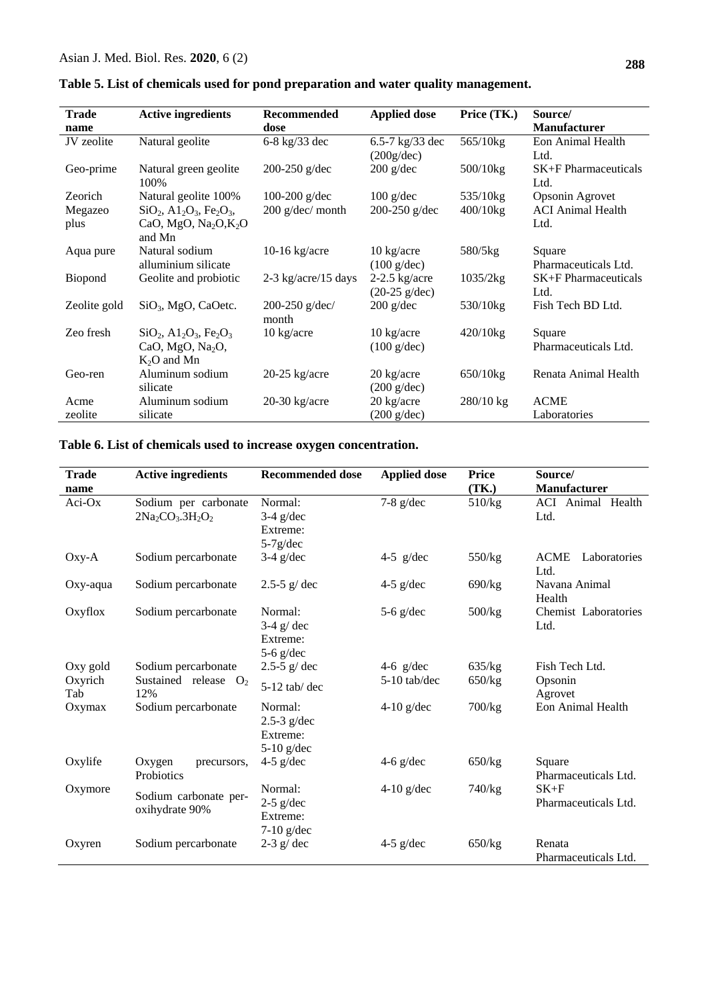| 288 |
|-----|
|     |

| <b>Trade</b>    | <b>Active ingredients</b>                                                                    | Recommended               | <b>Applied dose</b>                            | Price (TK.) | Source/                             |
|-----------------|----------------------------------------------------------------------------------------------|---------------------------|------------------------------------------------|-------------|-------------------------------------|
| name            |                                                                                              | dose                      |                                                |             | <b>Manufacturer</b>                 |
| JV zeolite      | Natural geolite                                                                              | 6-8 kg/33 dec             | 6.5-7 $\text{kg}/33 \text{ dec}$<br>(200g/dec) | 565/10kg    | Eon Animal Health<br>Ltd.           |
| Geo-prime       | Natural green geolite<br>100%                                                                | 200-250 $g/dec$           | $200$ g/dec                                    | 500/10kg    | <b>SK+F</b> Pharmaceuticals<br>Ltd. |
| Zeorich         | Natural geolite 100%                                                                         | 100-200 $g$ /dec          | $100 \text{ g/dec}$                            | 535/10kg    | Opsonin Agrovet                     |
| Megazeo<br>plus | $SiO_2$ , $A1_2O_3$ , $Fe_2O_3$ ,<br>CaO, MgO, Na <sub>2</sub> O, K <sub>2</sub> O<br>and Mn | $200$ g/dec/ month        | 200-250 $g/dec$                                | $400/10$ kg | <b>ACI</b> Animal Health<br>Ltd.    |
| Aqua pure       | Natural sodium<br>alluminium silicate                                                        | $10-16$ kg/acre           | $10 \text{ kg/acre}$<br>$(100 \text{ g/dec})$  | $580/5$ kg  | Square<br>Pharmaceuticals Ltd.      |
| Biopond         | Geolite and probiotic                                                                        | $2-3$ kg/acre/15 days     | $2-2.5$ kg/acre<br>$(20-25)$ g/dec)            | 1035/2kg    | <b>SK+F</b> Pharmaceuticals<br>Ltd. |
| Zeolite gold    | $SiO3$ , MgO, CaOetc.                                                                        | 200-250 $g/dec/$<br>month | $200$ g/dec                                    | 530/10kg    | Fish Tech BD Ltd.                   |
| Zeo fresh       | $SiO_2$ , $A1_2O_3$ , $Fe_2O_3$<br>CaO, MgO, Na <sub>2</sub> O,<br>$K_2O$ and Mn             | $10 \text{ kg/acre}$      | 10 kg/acre<br>$(100 \text{ g/dec})$            | $420/10$ kg | Square<br>Pharmaceuticals Ltd.      |
| Geo-ren         | Aluminum sodium<br>silicate                                                                  | $20-25$ kg/acre           | $20 \text{ kg/acre}$<br>$(200 \text{ g/dec})$  | 650/10kg    | Renata Animal Health                |
| Acme            | Aluminum sodium                                                                              | $20-30$ kg/acre           | 20 kg/acre                                     | $280/10$ kg | <b>ACME</b>                         |
| zeolite         | silicate                                                                                     |                           | $(200 \text{ g/dec})$                          |             | Laboratories                        |

# **Table 6. List of chemicals used to increase oxygen concentration.**

| <b>Trade</b><br>name | <b>Active ingredients</b>               | <b>Recommended dose</b>                              | <b>Applied dose</b> | <b>Price</b><br>(TK.) | Source/<br>Manufacturer             |
|----------------------|-----------------------------------------|------------------------------------------------------|---------------------|-----------------------|-------------------------------------|
| $Aci-Ox$             | Sodium per carbonate<br>$2Na2CO3.3H2O2$ | Normal:<br>$3-4$ g/dec<br>Extreme:<br>$5-7g/dec$     | $7-8$ g/dec         | 510/kg                | ACI Animal Health<br>Ltd.           |
| Oxy-A                | Sodium percarbonate                     | $3-4$ g/dec                                          | 4-5 $g/dec$         | 550/kg                | <b>ACME</b><br>Laboratories<br>Ltd. |
| Oxy-aqua             | Sodium percarbonate                     | 2.5-5 $g$ / dec                                      | $4-5$ g/dec         | 690/kg                | Navana Animal<br>Health             |
| Oxyflox              | Sodium percarbonate                     | Normal:<br>$3-4$ g/dec<br>Extreme:<br>$5-6$ g/dec    | $5-6$ g/dec         | 500/kg                | Chemist Laboratories<br>Ltd.        |
| Oxy gold             | Sodium percarbonate                     | 2.5-5 $g$ / dec                                      | 4-6 $g/dec$         | 635/kg                | Fish Tech Ltd.                      |
| Oxyrich<br>Tab       | Sustained release $O_2$<br>12%          | $5-12$ tab/dec                                       | 5-10 tab/dec        | 650/kg                | Opsonin<br>Agrovet                  |
| Oxymax               | Sodium percarbonate                     | Normal:<br>$2.5-3$ g/dec<br>Extreme:<br>$5-10$ g/dec | $4-10$ g/dec        | $700$ / $kg$          | Eon Animal Health                   |
| Oxylife              | Oxygen<br>precursors,<br>Probiotics     | $4-5$ g/dec                                          | 4-6 $g$ /dec        | 650/kg                | Square<br>Pharmaceuticals Ltd.      |
| Oxymore              | Sodium carbonate per-<br>oxihydrate 90% | Normal:<br>$2-5$ g/dec<br>Extreme:<br>$7-10$ g/dec   | $4-10$ g/dec        | 740/kg                | $SK+F$<br>Pharmaceuticals Ltd.      |
| Oxyren               | Sodium percarbonate                     | $2-3$ g/ dec                                         | $4-5$ g/dec         | 650/kg                | Renata<br>Pharmaceuticals Ltd.      |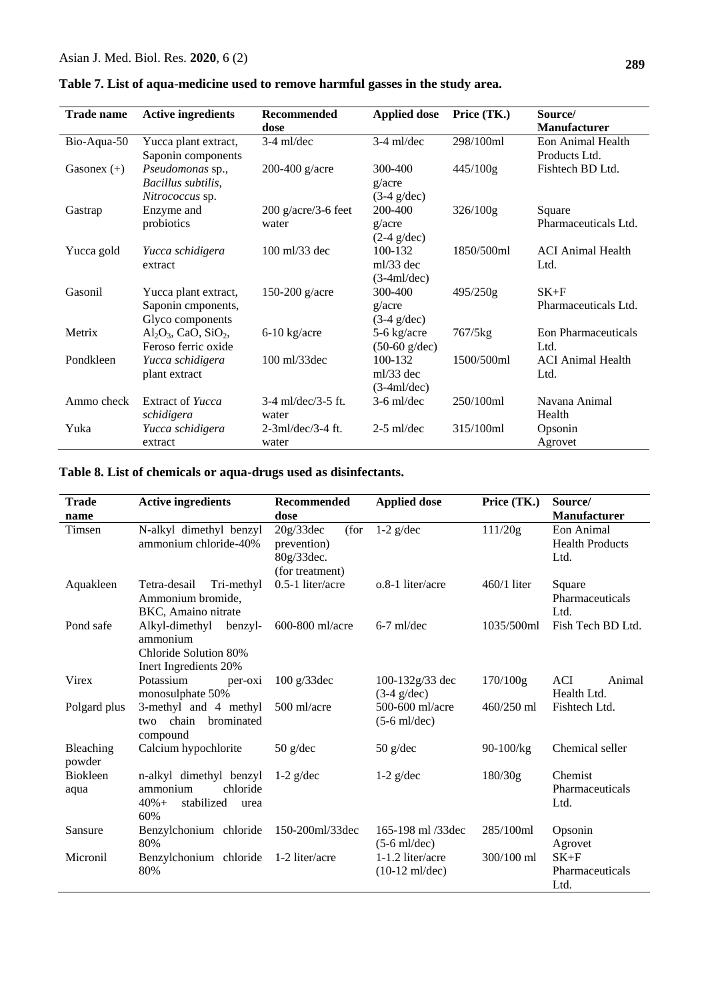| <b>Trade name</b> | <b>Active ingredients</b>                                      | Recommended<br>dose              | <b>Applied dose</b>                     | Price (TK.) | Source/<br><b>Manufacturer</b>     |
|-------------------|----------------------------------------------------------------|----------------------------------|-----------------------------------------|-------------|------------------------------------|
| Bio-Aqua-50       | Yucca plant extract,<br>Saponin components                     | $3-4$ ml/dec                     | $3-4$ ml/dec                            | 298/100ml   | Eon Animal Health<br>Products Ltd. |
| Gasonex $(+)$     | Pseudomonas sp.,<br>Bacillus subtilis,<br>Nitrococcus sp.      | 200-400 $g/acre$                 | 300-400<br>g/acre<br>$(3-4)$ g/dec)     | $445/100$ g | Fishtech BD Ltd.                   |
| Gastrap           | Enzyme and<br>probiotics                                       | $200$ g/acre/3-6 feet<br>water   | 200-400<br>g/acre<br>$(2-4)$ g/dec)     | 326/100g    | Square<br>Pharmaceuticals Ltd.     |
| Yucca gold        | Yucca schidigera<br>extract                                    | $100 \frac{\text{m}}{33}$ dec    | 100-132<br>$ml/33$ dec<br>$(3-4ml/dec)$ | 1850/500ml  | <b>ACI</b> Animal Health<br>Ltd.   |
| Gasonil           | Yucca plant extract,<br>Saponin cmponents,<br>Glyco components | 150-200 $g/acre$                 | 300-400<br>g/acre<br>$(3-4)$ g/dec)     | 495/250g    | $SK+F$<br>Pharmaceuticals Ltd.     |
| Metrix            | $Al_2O_3$ , CaO, SiO <sub>2</sub> ,<br>Feroso ferric oxide     | $6-10$ kg/acre                   | 5-6 kg/acre<br>$(50-60)$ g/dec)         | 767/5kg     | Eon Pharmaceuticals<br>Ltd.        |
| Pondkleen         | Yucca schidigera<br>plant extract                              | 100 ml/33dec                     | 100-132<br>$ml/33$ dec<br>$(3-4ml/dec)$ | 1500/500ml  | <b>ACI</b> Animal Health<br>Ltd.   |
| Ammo check        | Extract of Yucca<br>schidigera                                 | $3-4$ ml/dec/ $3-5$ ft.<br>water | $3-6$ ml/dec                            | 250/100ml   | Navana Animal<br>Health            |
| Yuka              | Yucca schidigera<br>extract                                    | $2-3ml/dec/3-4$ ft.<br>water     | $2-5$ ml/dec                            | 315/100ml   | Opsonin<br>Agrovet                 |

# **Table 7. List of aqua-medicine used to remove harmful gasses in the study area.**

# **Table 8. List of chemicals or aqua-drugs used as disinfectants.**

| <b>Trade</b>            | <b>Active ingredients</b>                                                               | Recommended                                                       | <b>Applied dose</b>                          | Price (TK.)   | Source/                                      |
|-------------------------|-----------------------------------------------------------------------------------------|-------------------------------------------------------------------|----------------------------------------------|---------------|----------------------------------------------|
| name                    |                                                                                         | dose                                                              |                                              |               | <b>Manufacturer</b>                          |
| Timsen                  | N-alkyl dimethyl benzyl<br>ammonium chloride-40%                                        | 20g/33dec<br>(for<br>prevention)<br>80g/33dec.<br>(for treatment) | $1-2$ g/dec                                  | 111/20g       | Eon Animal<br><b>Health Products</b><br>Ltd. |
| Aquakleen               | Tetra-desail<br>Tri-methyl<br>Ammonium bromide,<br>BKC, Amaino nitrate                  | $0.5-1$ liter/acre                                                | o.8-1 liter/acre                             | $460/1$ liter | Square<br>Pharmaceuticals<br>Ltd.            |
| Pond safe               | Alkyl-dimethyl<br>benzyl-<br>ammonium<br>Chloride Solution 80%<br>Inert Ingredients 20% | 600-800 ml/acre                                                   | $6-7$ ml/dec                                 | 1035/500ml    | Fish Tech BD Ltd.                            |
| Virex                   | Potassium<br>per-oxi<br>monosulphate 50%                                                | $100$ g/33dec                                                     | 100-132g/33 dec<br>$(3-4)$ g/dec)            | 170/100g      | <b>ACI</b><br>Animal<br>Health Ltd.          |
| Polgard plus            | 3-methyl and 4 methyl<br>brominated<br>two chain<br>compound                            | 500 ml/acre                                                       | 500-600 ml/acre<br>$(5-6 \text{ ml/dec})$    | 460/250 ml    | Fishtech Ltd.                                |
| Bleaching<br>powder     | Calcium hypochlorite                                                                    | $50$ g/dec                                                        | $50$ g/dec                                   | 90-100/kg     | Chemical seller                              |
| <b>Biokleen</b><br>aqua | n-alkyl dimethyl benzyl<br>ammonium<br>chloride<br>stabilized<br>$40% +$<br>urea<br>60% | $1-2$ g/dec                                                       | $1-2$ g/dec                                  | 180/30g       | Chemist<br>Pharmaceuticals<br>Ltd.           |
| Sansure                 | Benzylchonium chloride<br>80%                                                           | 150-200ml/33dec                                                   | 165-198 ml /33dec<br>$(5-6$ ml/dec)          | 285/100ml     | Opsonin<br>Agrovet                           |
| Micronil                | Benzylchonium chloride<br>80%                                                           | 1-2 liter/acre                                                    | 1-1.2 liter/acre<br>$(10-12 \text{ ml/dec})$ | 300/100 ml    | $SK+F$<br>Pharmaceuticals<br>Ltd.            |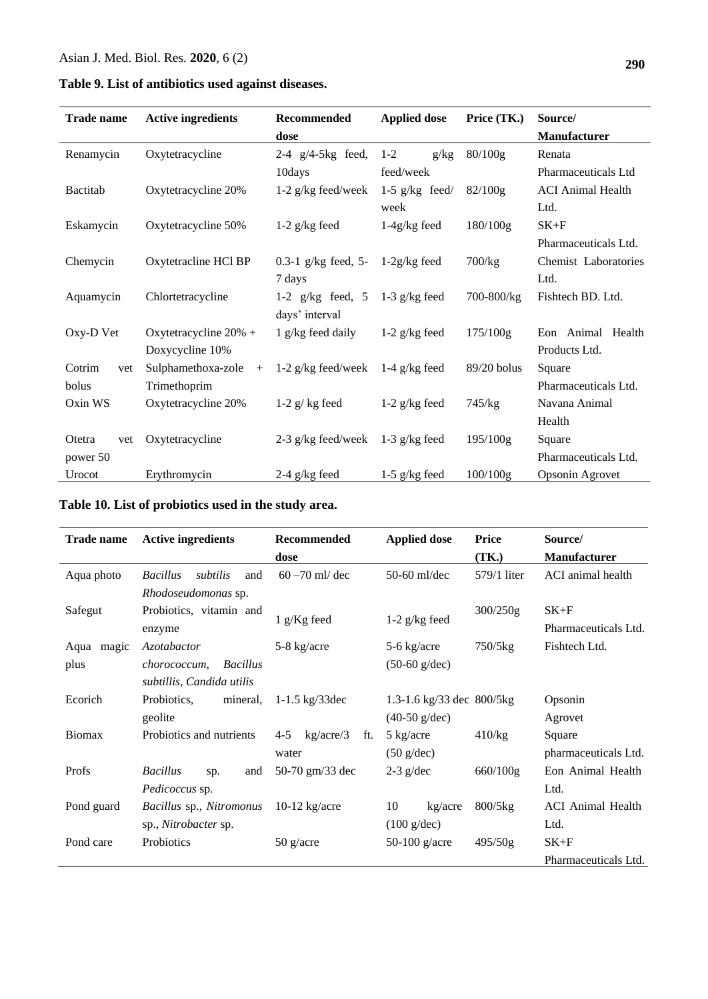|  |  |  | Table 9. List of antibiotics used against diseases. |  |  |  |
|--|--|--|-----------------------------------------------------|--|--|--|
|--|--|--|-----------------------------------------------------|--|--|--|

| <b>Trade name</b> | <b>Active ingredients</b> | Recommended                          | <b>Applied dose</b> | Price (TK.) | Source/                  |
|-------------------|---------------------------|--------------------------------------|---------------------|-------------|--------------------------|
|                   |                           | dose                                 |                     |             | Manufacturer             |
| Renamycin         | Oxytetracycline           | 2-4 $g/4$ -5 $kg$ feed,              | $1 - 2$<br>g/kg     | 80/100g     | Renata                   |
|                   |                           | 10days                               | feed/week           |             | Pharmaceuticals Ltd      |
| <b>Bactitab</b>   | Oxytetracycline 20%       | 1-2 g/kg feed/week 1-5 g/kg feed/    |                     | $82/100$ g  | <b>ACI</b> Animal Health |
|                   |                           |                                      | week                |             | Ltd.                     |
| Eskamycin         | Oxytetracycline 50%       | 1-2 $g/kg$ feed                      | $1-4g/kg$ feed      | 180/100g    | $SK+F$                   |
|                   |                           |                                      |                     |             | Pharmaceuticals Ltd.     |
| Chemycin          | Oxytetracline HCl BP      | 0.3-1 g/kg feed, $5-1-2g/kg$ feed    |                     | 700/kg      | Chemist Laboratories     |
|                   |                           | 7 days                               |                     |             | Ltd.                     |
| Aquamycin         | Chlortetracycline         | 1-2 $g/kg$ feed, 5 1-3 $g/kg$ feed   |                     | 700-800/kg  | Fishtech BD. Ltd.        |
|                   |                           | days' interval                       |                     |             |                          |
| Oxy-D Vet         | Oxytetracycline $20\%$ +  | 1 g/kg feed daily                    | 1-2 $g/kg$ feed     | 175/100g    | Eon Animal Health        |
|                   | Doxycycline 10%           |                                      |                     |             | Products Ltd.            |
| Cotrim<br>vet     | Sulphamethoxa-zole<br>$+$ | 1-2 $g/kg$ feed/week 1-4 $g/kg$ feed |                     | 89/20 bolus | Square                   |
| bolus             | Trimethoprim              |                                      |                     |             | Pharmaceuticals Ltd.     |
| Oxin WS           | Oxytetracycline 20%       | $1-2$ g/kg feed                      | $1-2$ g/kg feed     | 745/kg      | Navana Animal            |
|                   |                           |                                      |                     |             | Health                   |
| Otetra<br>vet     | Oxytetracycline           | 2-3 g/kg feed/week $1-3$ g/kg feed   |                     | 195/100g    | Square                   |
| power 50          |                           |                                      |                     |             | Pharmaceuticals Ltd.     |
| Urocot            | Erythromycin              | 2-4 $g/kg$ feed                      | 1-5 $g/kg$ feed     | 100/100g    | Opsonin Agrovet          |

**Table 10. List of probiotics used in the study area.**

| <b>Trade name</b> | <b>Active ingredients</b>               | Recommended                 | <b>Applied dose</b>              | <b>Price</b>          | Source/                  |
|-------------------|-----------------------------------------|-----------------------------|----------------------------------|-----------------------|--------------------------|
|                   |                                         | dose                        |                                  | (TK.)                 | <b>Manufacturer</b>      |
| Aqua photo        | <b>Bacillus</b><br>subtilis<br>and      | $60 - 70$ ml/ dec           | $50-60$ ml/dec                   | 579/1 liter           | ACI animal health        |
|                   | Rhodoseudomonas sp.                     |                             |                                  |                       |                          |
| Safegut           | Probiotics, vitamin and                 |                             | $1 g/Kg$ feed<br>$1-2$ g/kg feed | 300/250g              | $SK+F$                   |
|                   | enzyme                                  |                             |                                  |                       | Pharmaceuticals Ltd.     |
| Aqua magic        | Azotabactor                             | 5-8 kg/acre                 | 5-6 kg/acre                      | 750/5kg               | Fishtech Ltd.            |
| plus              | <b>Bacillus</b><br><i>chorococcum</i> , |                             | $(50-60)$ g/dec)                 |                       |                          |
|                   | subtillis, Candida utilis               |                             |                                  |                       |                          |
| Ecorich           | mineral,<br>Probiotics.                 | 1-1.5 $kg/33$ dec           | 1.3-1.6 kg/33 dec $800/5$ kg     |                       | Opsonin                  |
|                   | geolite                                 |                             | $(40-50)$ g/dec)                 |                       | Agrovet                  |
| <b>Biomax</b>     | Probiotics and nutrients                | kg/acre/3<br>$4 - 5$<br>ft. | 5 kg/acre                        | 410/kg                | Square                   |
|                   |                                         | water                       | $(50 \text{ g/dec})$             |                       | pharmaceuticals Ltd.     |
| Profs             | <b>Bacillus</b><br>and<br>sp.           | 50-70 gm/33 dec             | $2-3$ g/dec                      | 660/100g              | Eon Animal Health        |
|                   | Pedicoccus sp.                          |                             |                                  |                       | Ltd.                     |
| Pond guard        | Bacillus sp., Nitromonus                | $10-12$ kg/acre             | 10<br>kg/acre                    | $800/5$ <sub>kg</sub> | <b>ACI</b> Animal Health |
|                   | sp., Nitrobacter sp.                    |                             | $(100 \text{ g/dec})$            |                       | Ltd.                     |
| Pond care         | Probiotics                              | $50$ g/acre                 | 50-100 $g/acre$                  | 495/50g               | $SK+F$                   |
|                   |                                         |                             |                                  |                       | Pharmaceuticals Ltd.     |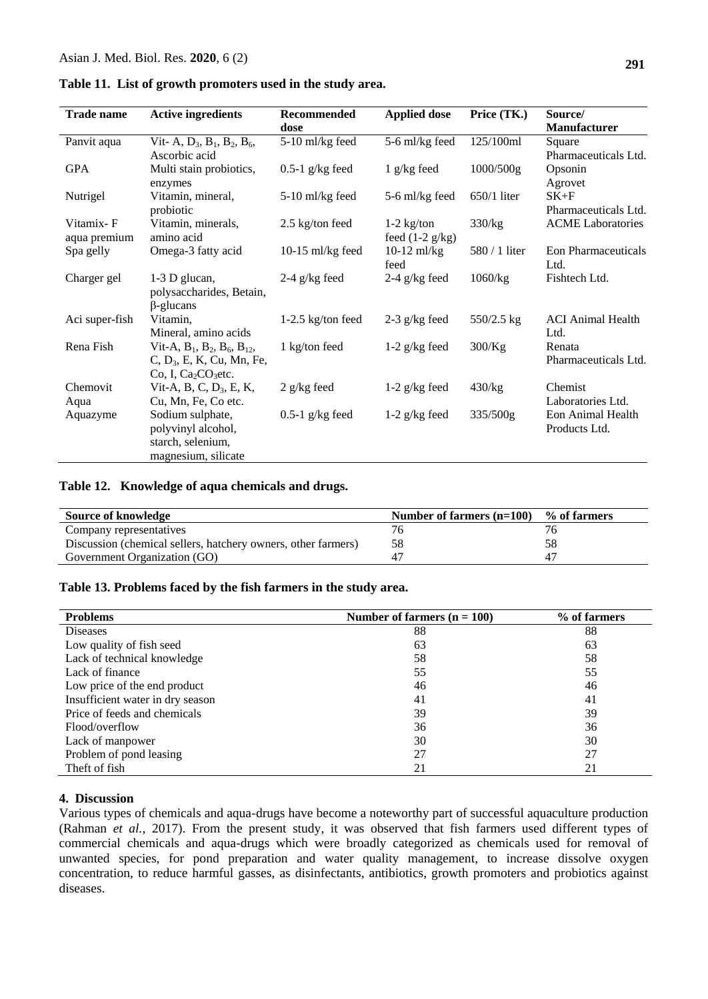| <b>Trade name</b>         | <b>Active ingredients</b>                                                                        | Recommended<br>dose | <b>Applied dose</b>               | Price (TK.)   | Source/<br><b>Manufacturer</b>     |
|---------------------------|--------------------------------------------------------------------------------------------------|---------------------|-----------------------------------|---------------|------------------------------------|
| Panvit aqua               | Vit- A, $D_3$ , $B_1$ , $B_2$ , $B_6$ ,<br>Ascorbic acid                                         | 5-10 ml/kg feed     | 5-6 ml/kg feed                    | 125/100ml     | Square<br>Pharmaceuticals Ltd.     |
| <b>GPA</b>                | Multi stain probiotics,<br>enzymes                                                               | $0.5-1$ g/kg feed   | $1$ g/kg feed                     | 1000/500g     | Opsonin<br>Agrovet                 |
| Nutrigel                  | Vitamin, mineral,<br>probiotic                                                                   | $5-10$ ml/kg feed   | 5-6 ml/kg feed                    | $650/1$ liter | $SK+F$<br>Pharmaceuticals Ltd.     |
| Vitamix-F<br>aqua premium | Vitamin, minerals,<br>amino acid                                                                 | $2.5$ kg/ton feed   | $1-2$ kg/ton<br>feed $(1-2 g/kg)$ | 330/kg        | <b>ACME</b> Laboratories           |
| Spa gelly                 | Omega-3 fatty acid                                                                               | 10-15 ml/kg feed    | $10-12$ ml/kg<br>feed             | 580 / 1 liter | <b>Eon Pharmaceuticals</b><br>Ltd. |
| Charger gel               | 1-3 D glucan,<br>polysaccharides, Betain,<br>$\beta$ -glucans                                    | $2-4$ g/kg feed     | 2-4 $g/kg$ feed                   | 1060/kg       | Fishtech Ltd.                      |
| Aci super-fish            | Vitamin,<br>Mineral, amino acids                                                                 | $1-2.5$ kg/ton feed | $2-3$ g/kg feed                   | 550/2.5 kg    | <b>ACI Animal Health</b><br>Ltd.   |
| Rena Fish                 | Vit-A, $B_1$ , $B_2$ , $B_6$ , $B_{12}$ ,<br>$C, D_3, E, K, Cu, Mn, Fe,$<br>Co, I, $Ca2CO3$ etc. | 1 kg/ton feed       | $1-2$ g/kg feed                   | 300/Kg        | Renata<br>Pharmaceuticals Ltd.     |
| Chemovit<br>Aqua          | Vit-A, B, C, $D_3$ , E, K,<br>Cu, Mn, Fe, Co etc.                                                | $2$ g/kg feed       | 1-2 $g/kg$ feed                   | 430/kg        | Chemist<br>Laboratories Ltd.       |
| Aquazyme                  | Sodium sulphate,<br>polyvinyl alcohol,<br>starch, selenium,<br>magnesium, silicate               | $0.5-1$ g/kg feed   | 1-2 $g/kg$ feed                   | 335/500g      | Eon Animal Health<br>Products Ltd. |

**Table 11. List of growth promoters used in the study area.**

#### **Table 12. Knowledge of aqua chemicals and drugs.**

| Source of knowledge                                           | Number of farmers $(n=100)$ % of farmers |    |
|---------------------------------------------------------------|------------------------------------------|----|
| Company representatives                                       |                                          |    |
| Discussion (chemical sellers, hatchery owners, other farmers) | 58                                       | 58 |
| Government Organization (GO)                                  |                                          |    |

#### **Table 13. Problems faced by the fish farmers in the study area.**

| <b>Problems</b>                  | Number of farmers $(n = 100)$ | % of farmers |
|----------------------------------|-------------------------------|--------------|
| <b>Diseases</b>                  | 88                            | 88           |
| Low quality of fish seed         | 63                            | 63           |
| Lack of technical knowledge      | 58                            | 58           |
| Lack of finance                  | 55                            | 55           |
| Low price of the end product     | 46                            | 46           |
| Insufficient water in dry season | 41                            | 41           |
| Price of feeds and chemicals     | 39                            | 39           |
| Flood/overflow                   | 36                            | 36           |
| Lack of manpower                 | 30                            | 30           |
| Problem of pond leasing          | 27                            | 27           |
| Theft of fish                    | 21                            | 21           |

#### **4. Discussion**

Various types of chemicals and aqua-drugs have become a noteworthy part of successful aquaculture production (Rahman *et al.,* 2017). From the present study, it was observed that fish farmers used different types of commercial chemicals and aqua-drugs which were broadly categorized as chemicals used for removal of unwanted species, for pond preparation and water quality management, to increase dissolve oxygen concentration, to reduce harmful gasses, as disinfectants, antibiotics, growth promoters and probiotics against diseases.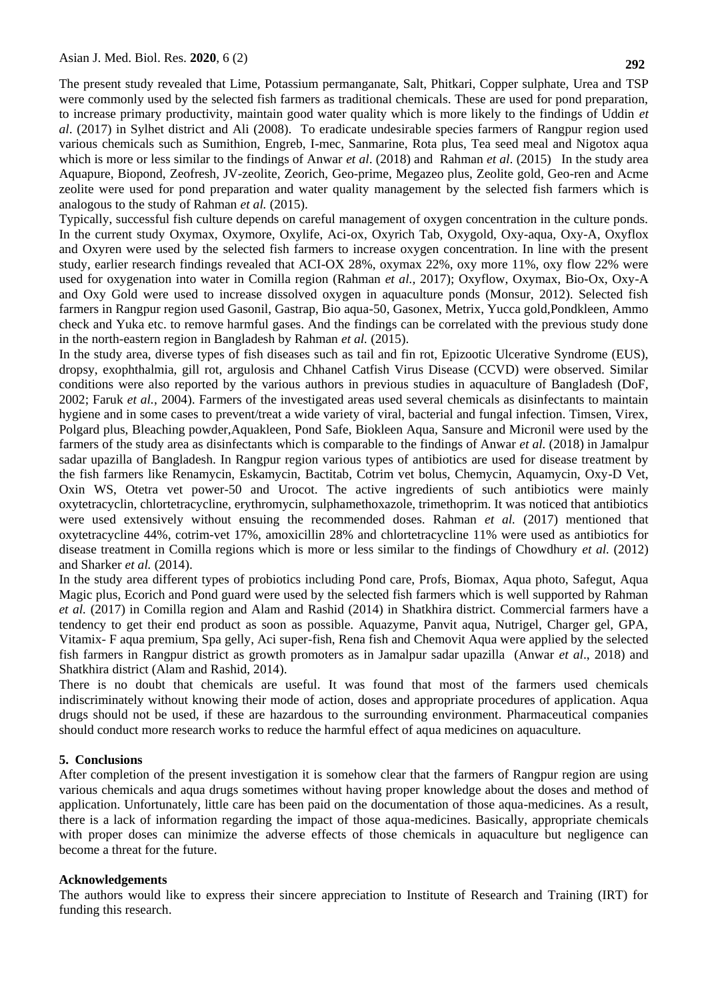The present study revealed that Lime, Potassium permanganate, Salt, Phitkari, Copper sulphate, Urea and TSP were commonly used by the selected fish farmers as traditional chemicals. These are used for pond preparation, to increase primary productivity, maintain good water quality which is more likely to the findings of Uddin *et al*. (2017) in Sylhet district and Ali (2008). To eradicate undesirable species farmers of Rangpur region used various chemicals such as Sumithion, Engreb, I-mec, Sanmarine, Rota plus, Tea seed meal and Nigotox aqua which is more or less similar to the findings of Anwar *et al*. (2018) and Rahman *et al*. (2015) In the study area Aquapure, Biopond, Zeofresh, JV-zeolite, Zeorich, Geo-prime, Megazeo plus, Zeolite gold, Geo-ren and Acme zeolite were used for pond preparation and water quality management by the selected fish farmers which is analogous to the study of Rahman *et al.* (2015).

Typically, successful fish culture depends on careful management of oxygen concentration in the culture ponds. In the current study Oxymax, Oxymore, Oxylife, Aci-ox, Oxyrich Tab, Oxygold, Oxy-aqua, Oxy-A, Oxyflox and Oxyren were used by the selected fish farmers to increase oxygen concentration. In line with the present study, earlier research findings revealed that ACI-OX 28%, oxymax 22%, oxy more 11%, oxy flow 22% were used for oxygenation into water in Comilla region (Rahman *et al.,* 2017); Oxyflow, Oxymax, Bio-Ox, Oxy-A and Oxy Gold were used to increase dissolved oxygen in aquaculture ponds (Monsur, 2012). Selected fish farmers in Rangpur region used Gasonil, Gastrap, Bio aqua-50, Gasonex, Metrix, Yucca gold,Pondkleen, Ammo check and Yuka etc. to remove harmful gases. And the findings can be correlated with the previous study done in the north-eastern region in Bangladesh by Rahman *et al.* (2015).

In the study area, diverse types of fish diseases such as tail and fin rot, Epizootic Ulcerative Syndrome (EUS), dropsy, exophthalmia, gill rot, argulosis and Chhanel Catfish Virus Disease (CCVD) were observed. Similar conditions were also reported by the various authors in previous studies in aquaculture of Bangladesh (DoF, 2002; Faruk *et al.*, 2004). Farmers of the investigated areas used several chemicals as disinfectants to maintain hygiene and in some cases to prevent/treat a wide variety of viral, bacterial and fungal infection. Timsen, Virex, Polgard plus, Bleaching powder,Aquakleen, Pond Safe, Biokleen Aqua, Sansure and Micronil were used by the farmers of the study area as disinfectants which is comparable to the findings of Anwar *et al.* (2018) in Jamalpur sadar upazilla of Bangladesh. In Rangpur region various types of antibiotics are used for disease treatment by the fish farmers like Renamycin, Eskamycin, Bactitab, Cotrim vet bolus, Chemycin, Aquamycin, Oxy-D Vet, Oxin WS, Otetra vet power-50 and Urocot. The active ingredients of such antibiotics were mainly oxytetracyclin, chlortetracycline, erythromycin, sulphamethoxazole, trimethoprim. It was noticed that antibiotics were used extensively without ensuing the recommended doses. Rahman *et al.* (2017) mentioned that oxytetracycline 44%, cotrim-vet 17%, amoxicillin 28% and chlortetracycline 11% were used as antibiotics for disease treatment in Comilla regions which is more or less similar to the findings of Chowdhury *et al.* (2012) and Sharker *et al.* (2014).

In the study area different types of probiotics including Pond care, Profs, Biomax, Aqua photo, Safegut, Aqua Magic plus, Ecorich and Pond guard were used by the selected fish farmers which is well supported by Rahman *et al.* (2017) in Comilla region and Alam and Rashid (2014) in Shatkhira district. Commercial farmers have a tendency to get their end product as soon as possible. Aquazyme, Panvit aqua, Nutrigel, Charger gel, GPA, Vitamix- F aqua premium, Spa gelly, Aci super-fish, Rena fish and Chemovit Aqua were applied by the selected fish farmers in Rangpur district as growth promoters as in Jamalpur sadar upazilla (Anwar *et al*., 2018) and Shatkhira district (Alam and Rashid, 2014).

There is no doubt that chemicals are useful. It was found that most of the farmers used chemicals indiscriminately without knowing their mode of action, doses and appropriate procedures of application. Aqua drugs should not be used, if these are hazardous to the surrounding environment. Pharmaceutical companies should conduct more research works to reduce the harmful effect of aqua medicines on aquaculture.

#### **5. Conclusions**

After completion of the present investigation it is somehow clear that the farmers of Rangpur region are using various chemicals and aqua drugs sometimes without having proper knowledge about the doses and method of application. Unfortunately, little care has been paid on the documentation of those aqua-medicines. As a result, there is a lack of information regarding the impact of those aqua-medicines. Basically, appropriate chemicals with proper doses can minimize the adverse effects of those chemicals in aquaculture but negligence can become a threat for the future.

#### **Acknowledgements**

The authors would like to express their sincere appreciation to Institute of Research and Training (IRT) for funding this research.